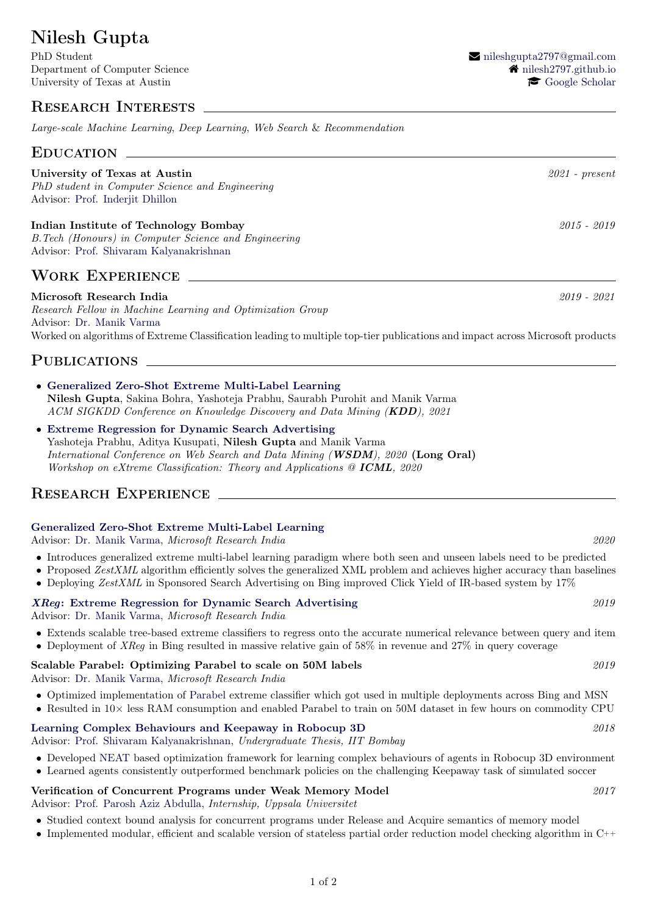# Nilesh Gupta

Department of Computer Science **1998** [nilesh2797.github.io](https://nilesh2797.github.io) University of Texas at Austin  $\bullet$  [Google Scholar](https://scholar.google.com/citations?user=WDF2ldUAAAAJ&hl=en)

# Research Interests

Large-scale Machine Learning, Deep Learning, Web Search & Recommendation

### EDUCATION

# PhD student in Computer Science and Engineering Advisor: [Prof. Inderjit Dhillon](https://www.cs.utexas.edu/~inderjit/) Indian Institute of Technology Bombay 2015 - 2019

B.Tech (Honours) in Computer Science and Engineering Advisor: [Prof. Shivaram Kalyanakrishnan](http://www.cse.iitb.ac.in/~shivaram/)

## Work Experience

#### Microsoft Research India 2019 - 2021

Research Fellow in Machine Learning and Optimization Group Advisor: [Dr. Manik Varma](http://manikvarma.org) Worked on algorithms of Extreme Classification leading to multiple top-tier publications and impact across Microsoft products

University of Texas at Austin 2021 - present

# PUBLICATIONS \_

- [Generalized Zero-Shot Extreme Multi-Label Learning](http://manikvarma.org/pubs/gupta21.pdf) Nilesh Gupta, Sakina Bohra, Yashoteja Prabhu, Saurabh Purohit and Manik Varma ACM SIGKDD Conference on Knowledge Discovery and Data Mining (KDD), 2021
- [Extreme Regression for Dynamic Search Advertising](https://arxiv.org/pdf/2001.05228.pdf) Yashoteja Prabhu, Aditya Kusupati, Nilesh Gupta and Manik Varma International Conference on Web Search and Data Mining (WSDM), 2020 (Long Oral) Workshop on eXtreme Classification: Theory and Applications @ ICML, 2020

# RESEARCH EXPERIENCE

#### [Generalized Zero-Shot Extreme Multi-Label Learning](http://manikvarma.org/pubs/gupta21.pdf)

Advisor: [Dr. Manik Varma,](www.manikvarma.org) Microsoft Research India 2020

- Introduces generalized extreme multi-label learning paradigm where both seen and unseen labels need to be predicted
- Proposed ZestXML algorithm efficiently solves the generalized XML problem and achieves higher accuracy than baselines
- Deploying ZestXML in Sponsored Search Advertising on Bing improved Click Yield of IR-based system by 17%

## XReq[: Extreme Regression for Dynamic Search Advertising](http://manikvarma.org/pubs/prabhu20.pdf) 2019

Advisor: [Dr. Manik Varma,](www.manikvarma.org) Microsoft Research India

- Extends scalable tree-based extreme classifiers to regress onto the accurate numerical relevance between query and item
- Deployment of XReg in Bing resulted in massive relative gain of 58% in revenue and 27% in query coverage

## Scalable Parabel: Optimizing Parabel to scale on 50M labels 2019

Advisor: [Dr. Manik Varma,](www.manikvarma.org) Microsoft Research India

- Optimized implementation of [Parabel](http://manikvarma.org/pubs/prabhu18b.pdf) extreme classifier which got used in multiple deployments across Bing and MSN
- Resulted in 10× less RAM consumption and enabled Parabel to train on 50M dataset in few hours on commodity CPU

## [Learning Complex Behaviours and Keepaway in Robocup 3D](http://nilesh2797.github.io/thesis.pdf) 2018

Advisor: [Prof. Shivaram Kalyanakrishnan,](http://www.cse.iitb.ac.in/~shivaram/) Undergraduate Thesis, IIT Bombay

- Developed [NEAT](http://nn.cs.utexas.edu/downloads/papers/stanley.ec02.pdf) based optimization framework for learning complex behaviours of agents in Robocup 3D environment
- Learned agents consistently outperformed benchmark policies on the challenging Keepaway task of simulated soccer

# Verification of Concurrent Programs under Weak Memory Model 2017

Advisor: [Prof. Parosh Aziz Abdulla,](http://user.it.uu.se/~parosh/) Internship, Uppsala Universitet

- Studied context bound analysis for concurrent programs under Release and Acquire semantics of memory model
- Implemented modular, efficient and scalable version of stateless partial order reduction model checking algorithm in C++